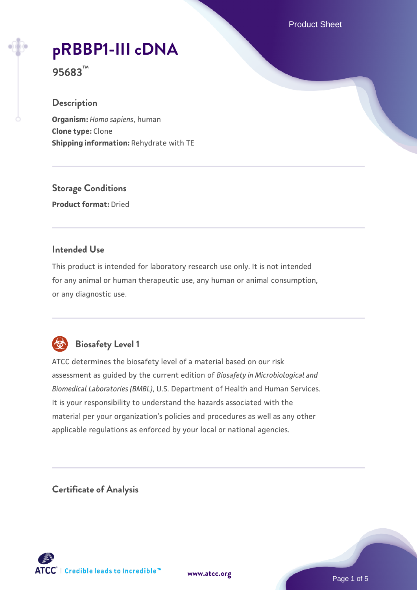Product Sheet

# **[pRBBP1-III cDNA](https://www.atcc.org/products/95683)**

**95683™**

#### **Description**

**Organism:** *Homo sapiens*, human **Clone type:** Clone **Shipping information:** Rehydrate with TE

**Storage Conditions Product format:** Dried

#### **Intended Use**

This product is intended for laboratory research use only. It is not intended for any animal or human therapeutic use, any human or animal consumption, or any diagnostic use.



## **Biosafety Level 1**

ATCC determines the biosafety level of a material based on our risk assessment as guided by the current edition of *Biosafety in Microbiological and Biomedical Laboratories (BMBL)*, U.S. Department of Health and Human Services. It is your responsibility to understand the hazards associated with the material per your organization's policies and procedures as well as any other applicable regulations as enforced by your local or national agencies.

**Certificate of Analysis**

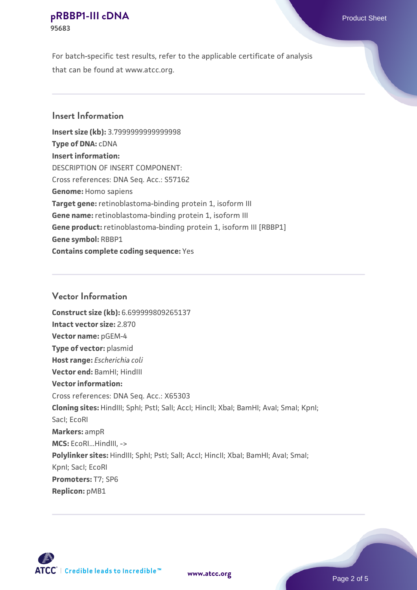For batch-specific test results, refer to the applicable certificate of analysis that can be found at www.atcc.org.

#### **Insert Information**

**Insert size (kb):** 3.7999999999999998 **Type of DNA:** cDNA **Insert information:** DESCRIPTION OF INSERT COMPONENT: Cross references: DNA Seq. Acc.: S57162 **Genome:** Homo sapiens **Target gene:** retinoblastoma-binding protein 1, isoform III **Gene name:** retinoblastoma-binding protein 1, isoform III Gene product: retinoblastoma-binding protein 1, isoform III [RBBP1] **Gene symbol:** RBBP1 **Contains complete coding sequence:** Yes

#### **Vector Information**

**Construct size (kb):** 6.699999809265137 **Intact vector size:** 2.870 **Vector name:** pGEM-4 **Type of vector:** plasmid **Host range:** *Escherichia coli* **Vector end:** BamHI; HindIII **Vector information:** Cross references: DNA Seq. Acc.: X65303 **Cloning sites:** HindIII; SphI; PstI; SalI; AccI; HincII; XbaI; BamHI; AvaI; SmaI; KpnI; SacI; EcoRI **Markers:** ampR **MCS:** EcoRI...HindIII, -> Polylinker sites: HindIII; SphI; PstI; SalI; AccI; HincII; XbaI; BamHI; AvaI; SmaI; KpnI; SacI; EcoRI **Promoters:** T7; SP6 **Replicon:** pMB1



**[www.atcc.org](http://www.atcc.org)**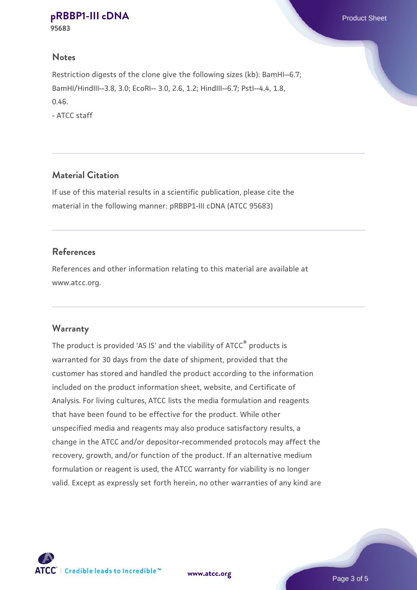**95683**

#### **Notes**

Restriction digests of the clone give the following sizes (kb): BamHI--6.7; BamHI/HindIII--3.8, 3.0; EcoRI-- 3.0, 2.6, 1.2; HindIII--6.7; PstI--4.4, 1.8, 0.46.

- ATCC staff

#### **Material Citation**

If use of this material results in a scientific publication, please cite the material in the following manner: pRBBP1-III cDNA (ATCC 95683)

#### **References**

References and other information relating to this material are available at www.atcc.org.

#### **Warranty**

The product is provided 'AS IS' and the viability of ATCC® products is warranted for 30 days from the date of shipment, provided that the customer has stored and handled the product according to the information included on the product information sheet, website, and Certificate of Analysis. For living cultures, ATCC lists the media formulation and reagents that have been found to be effective for the product. While other unspecified media and reagents may also produce satisfactory results, a change in the ATCC and/or depositor-recommended protocols may affect the recovery, growth, and/or function of the product. If an alternative medium formulation or reagent is used, the ATCC warranty for viability is no longer valid. Except as expressly set forth herein, no other warranties of any kind are



**[www.atcc.org](http://www.atcc.org)**

Page 3 of 5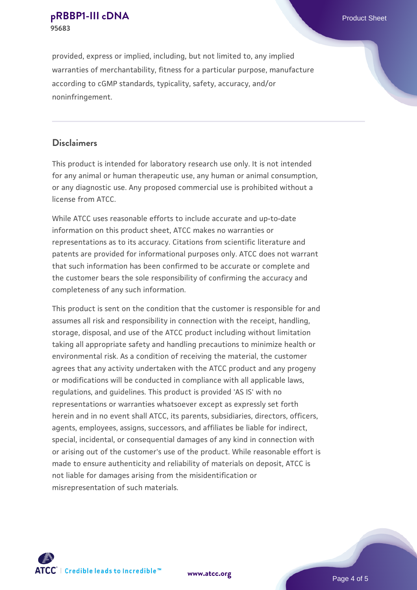provided, express or implied, including, but not limited to, any implied warranties of merchantability, fitness for a particular purpose, manufacture according to cGMP standards, typicality, safety, accuracy, and/or noninfringement.

#### **Disclaimers**

This product is intended for laboratory research use only. It is not intended for any animal or human therapeutic use, any human or animal consumption, or any diagnostic use. Any proposed commercial use is prohibited without a license from ATCC.

While ATCC uses reasonable efforts to include accurate and up-to-date information on this product sheet, ATCC makes no warranties or representations as to its accuracy. Citations from scientific literature and patents are provided for informational purposes only. ATCC does not warrant that such information has been confirmed to be accurate or complete and the customer bears the sole responsibility of confirming the accuracy and completeness of any such information.

This product is sent on the condition that the customer is responsible for and assumes all risk and responsibility in connection with the receipt, handling, storage, disposal, and use of the ATCC product including without limitation taking all appropriate safety and handling precautions to minimize health or environmental risk. As a condition of receiving the material, the customer agrees that any activity undertaken with the ATCC product and any progeny or modifications will be conducted in compliance with all applicable laws, regulations, and guidelines. This product is provided 'AS IS' with no representations or warranties whatsoever except as expressly set forth herein and in no event shall ATCC, its parents, subsidiaries, directors, officers, agents, employees, assigns, successors, and affiliates be liable for indirect, special, incidental, or consequential damages of any kind in connection with or arising out of the customer's use of the product. While reasonable effort is made to ensure authenticity and reliability of materials on deposit, ATCC is not liable for damages arising from the misidentification or misrepresentation of such materials.



**[www.atcc.org](http://www.atcc.org)**

Page 4 of 5